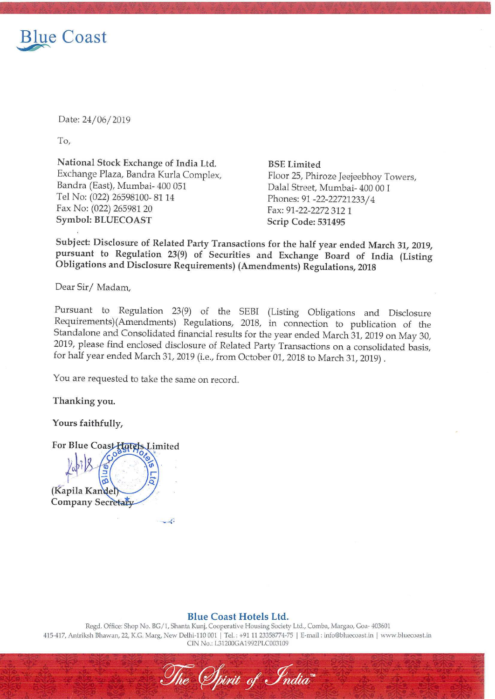

Date: 24/06/ 2019

To,

National Stock Exchange of India Ltd. BSE Limited<br>Exchange Plaza, Bandra Kurla Complex, Floor 25, Phir Exchange Plaza, Bandra Kurla Complex] Floor 25, Phjroze Jeejeebhoy Towers, Tel No: (022) 26598100- 81 14<br>
Fax No: (022) 265981 20<br>
Fax: 91-22-22721233/4<br>
Fax: 91-22-2272 312 1 Symbol: BLUECOAST Scrip Code: 531495

Dalal Street, Mumbai- 400 00 I Fax: 91-22-2272 312 1

Subject: Disclosure of Related Party Transactions for the half year ended March 31, 2019, pursuant to Regulation 23(9) of Securities and Exchange Board of India (Listing Obligations and Disclosure Requirements) (Amendments) Regulations, <sup>2018</sup>

Dear Sir/ Madam,

Pursuant to Regulation 23(9) of the SEBI (Listing Obligations and Disclosure Requirements)(Amendments) Regulations, 2018, in connection to publication of the Standalone and Consolidated financial results for the year ended March 31, <sup>2019</sup> on May 30, 2019, please find enclosed disclosure of Related Party Transactions on <sup>a</sup> consolidated basis, for half year ended March 31, <sup>2019</sup> (i.e., from October 01, <sup>2018</sup> to March 31, 2019) .

You are requested to take the same on record.

 $\mathcal{A}$ 

Thanking you.

Yours faithfully,

## For Blue Coast Hatels Limited

(Kapila Kandel) Company Secretary

## Blue Coast Hotels Ltd.

Regd. Office: Shop No. BG/1, Shanta Kunj, Cooperative Housing Society Ltd., Comba, Margao, Goa- 403601 415-417, Antriksh Bhawan, 22, K.G. Marg, New Delhi-110 001 | Tel. : +91 11 23358774-75 | E-mail : info@bluecoast.in | www.bluecoast.in CIN No.: L31200GA1992PLC003109

The Spirit of India<sup>\*</sup>